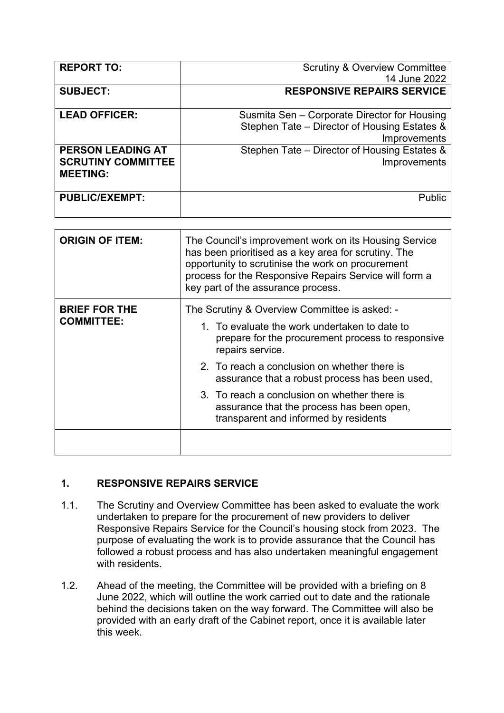| <b>REPORT TO:</b>         | <b>Scrutiny &amp; Overview Committee</b>     |
|---------------------------|----------------------------------------------|
|                           | 14 June 2022                                 |
| <b>SUBJECT:</b>           | <b>RESPONSIVE REPAIRS SERVICE</b>            |
|                           |                                              |
| <b>LEAD OFFICER:</b>      | Susmita Sen - Corporate Director for Housing |
|                           | Stephen Tate - Director of Housing Estates & |
|                           | Improvements                                 |
| <b>PERSON LEADING AT</b>  | Stephen Tate – Director of Housing Estates & |
| <b>SCRUTINY COMMITTEE</b> | Improvements                                 |
| <b>MEETING:</b>           |                                              |
|                           |                                              |
| <b>PUBLIC/EXEMPT:</b>     | <b>Public</b>                                |
|                           |                                              |

| <b>ORIGIN OF ITEM:</b>                    | The Council's improvement work on its Housing Service<br>has been prioritised as a key area for scrutiny. The<br>opportunity to scrutinise the work on procurement<br>process for the Responsive Repairs Service will form a<br>key part of the assurance process. |
|-------------------------------------------|--------------------------------------------------------------------------------------------------------------------------------------------------------------------------------------------------------------------------------------------------------------------|
| <b>BRIEF FOR THE</b><br><b>COMMITTEE:</b> | The Scrutiny & Overview Committee is asked: -<br>1. To evaluate the work undertaken to date to                                                                                                                                                                     |
|                                           | prepare for the procurement process to responsive<br>repairs service.                                                                                                                                                                                              |
|                                           | 2. To reach a conclusion on whether there is<br>assurance that a robust process has been used,                                                                                                                                                                     |
|                                           | 3. To reach a conclusion on whether there is<br>assurance that the process has been open,<br>transparent and informed by residents                                                                                                                                 |
|                                           |                                                                                                                                                                                                                                                                    |

## **1. RESPONSIVE REPAIRS SERVICE**

- 1.1. The Scrutiny and Overview Committee has been asked to evaluate the work undertaken to prepare for the procurement of new providers to deliver Responsive Repairs Service for the Council's housing stock from 2023. The purpose of evaluating the work is to provide assurance that the Council has followed a robust process and has also undertaken meaningful engagement with residents
- 1.2. Ahead of the meeting, the Committee will be provided with a briefing on 8 June 2022, which will outline the work carried out to date and the rationale behind the decisions taken on the way forward. The Committee will also be provided with an early draft of the Cabinet report, once it is available later this week.